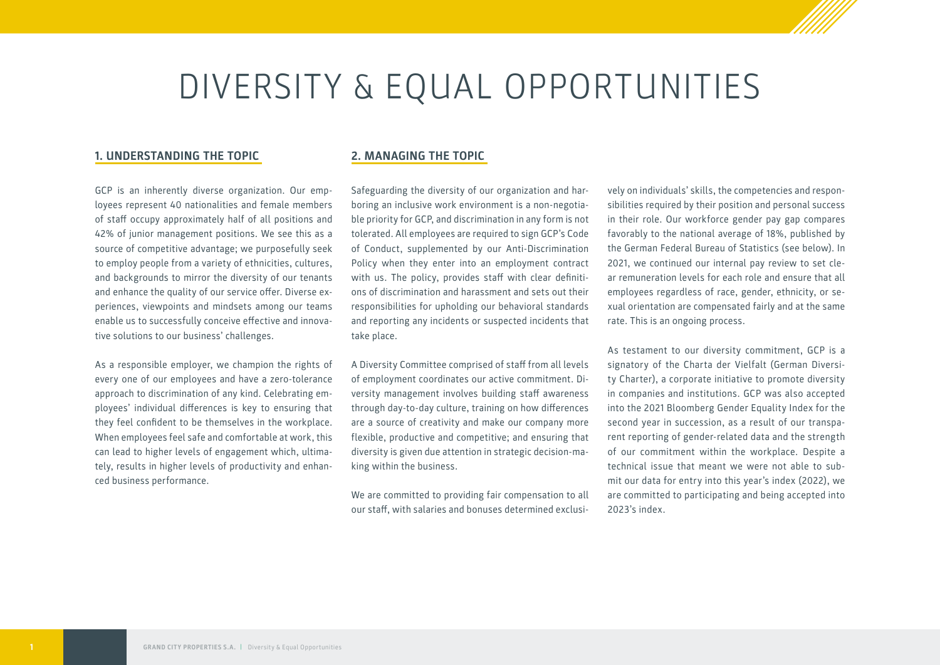# DIVERSITY & EQUAL OPPORTUNITIES

#### **1. UNDERSTANDING THE TOPIC**

GCP is an inherently diverse organization. Our employees represent 40 nationalities and female members of staff occupy approximately half of all positions and 42% of junior management positions. We see this as a source of competitive advantage; we purposefully seek to employ people from a variety of ethnicities, cultures, and backgrounds to mirror the diversity of our tenants and enhance the quality of our service offer. Diverse experiences, viewpoints and mindsets among our teams enable us to successfully conceive effective and innovative solutions to our business' challenges.

As a responsible employer, we champion the rights of every one of our employees and have a zero-tolerance approach to discrimination of any kind. Celebrating employees' individual differences is key to ensuring that they feel confident to be themselves in the workplace. When employees feel safe and comfortable at work, this can lead to higher levels of engagement which, ultimately, results in higher levels of productivity and enhanced business performance.

#### **2. MANAGING THE TOPIC**

Safeguarding the diversity of our organization and harboring an inclusive work environment is a non-negotiable priority for GCP, and discrimination in any form is not tolerated. All employees are required to sign GCP's Code of Conduct, supplemented by our Anti-Discrimination Policy when they enter into an employment contract with us. The policy, provides staff with clear definitions of discrimination and harassment and sets out their responsibilities for upholding our behavioral standards and reporting any incidents or suspected incidents that take place.

A Diversity Committee comprised of staff from all levels of employment coordinates our active commitment. Diversity management involves building staff awareness through day-to-day culture, training on how differences are a source of creativity and make our company more flexible, productive and competitive; and ensuring that diversity is given due attention in strategic decision-making within the business.

We are committed to providing fair compensation to all our staff, with salaries and bonuses determined exclusi-

vely on individuals' skills, the competencies and responsibilities required by their position and personal success in their role. Our workforce gender pay gap compares favorably to the national average of 18%, published by the German Federal Bureau of Statistics (see below). In 2021, we continued our internal pay review to set clear remuneration levels for each role and ensure that all employees regardless of race, gender, ethnicity, or sexual orientation are compensated fairly and at the same rate. This is an ongoing process.

As testament to our diversity commitment, GCP is a signatory of the Charta der Vielfalt (German Diversity Charter), a corporate initiative to promote diversity in companies and institutions. GCP was also accepted into the 2021 Bloomberg Gender Equality Index for the second year in succession, as a result of our transparent reporting of gender-related data and the strength of our commitment within the workplace. Despite a technical issue that meant we were not able to submit our data for entry into this year's index (2022), we are committed to participating and being accepted into 2023's index.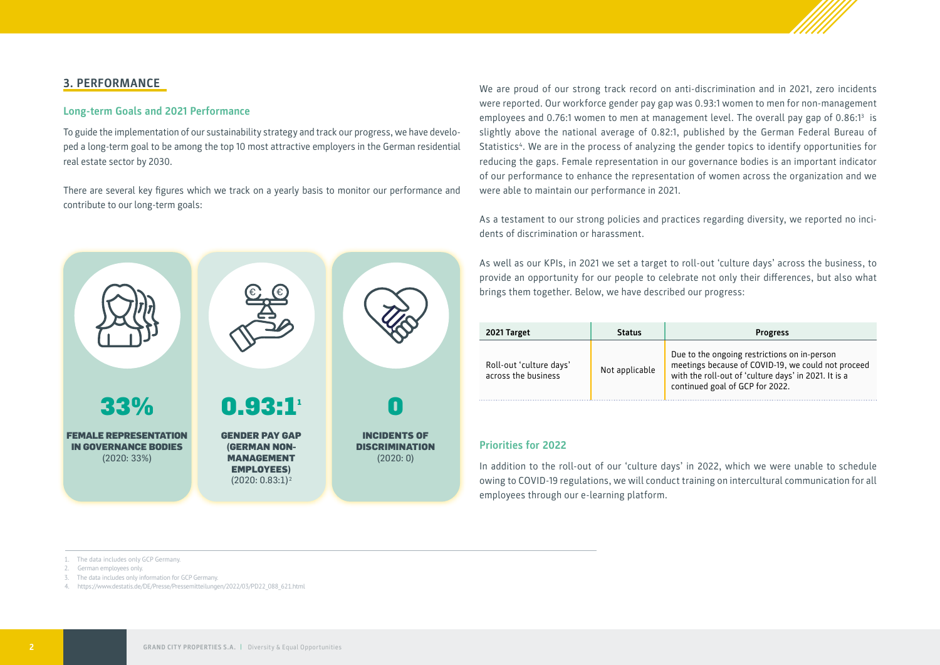

### **3. PERFORMANCE**

#### **Long-term Goals and 2021 Performance**

To guide the implementation of our sustainability strategy and track our progress, we have developed a long-term goal to be among the top 10 most attractive employers in the German residential real estate sector by 2030.

There are several key figures which we track on a yearly basis to monitor our performance and contribute to our long-term goals:



We are proud of our strong track record on anti-discrimination and in 2021, zero incidents were reported. Our workforce gender pay gap was 0.93:1 women to men for non-management employees and 0.76:1 women to men at management level. The overall pay gap of 0.86:1<sup>3</sup> is slightly above the national average of 0.82:1, published by the German Federal Bureau of Statistics4 . We are in the process of analyzing the gender topics to identify opportunities for reducing the gaps. Female representation in our governance bodies is an important indicator of our performance to enhance the representation of women across the organization and we were able to maintain our performance in 2021.

As a testament to our strong policies and practices regarding diversity, we reported no incidents of discrimination or harassment.

As well as our KPIs, in 2021 we set a target to roll-out 'culture days' across the business, to provide an opportunity for our people to celebrate not only their differences, but also what brings them together. Below, we have described our progress:

| 2021 Target                                    | <b>Status</b>  | <b>Progress</b>                                                                                                                                                                               |
|------------------------------------------------|----------------|-----------------------------------------------------------------------------------------------------------------------------------------------------------------------------------------------|
| Roll-out 'culture days'<br>across the business | Not applicable | Due to the ongoing restrictions on in-person<br>meetings because of COVID-19, we could not proceed<br>with the roll-out of 'culture days' in 2021. It is a<br>continued goal of GCP for 2022. |

#### **Priorities for 2022**

In addition to the roll-out of our 'culture days' in 2022, which we were unable to schedule owing to COVID-19 regulations, we will conduct training on intercultural communication for all employees through our e-learning platform.

1. The data includes only GCP Germany.

- 2. German employees only.
- 3. The data includes only information for GCP Germany.

4. [https://www.destatis.de/DE/Presse/Pressemitteilungen/2022/03/PD22\\_088\\_621.html](https://www.destatis.de/DE/Presse/Pressemitteilungen/2022/03/PD22_088_621.html)